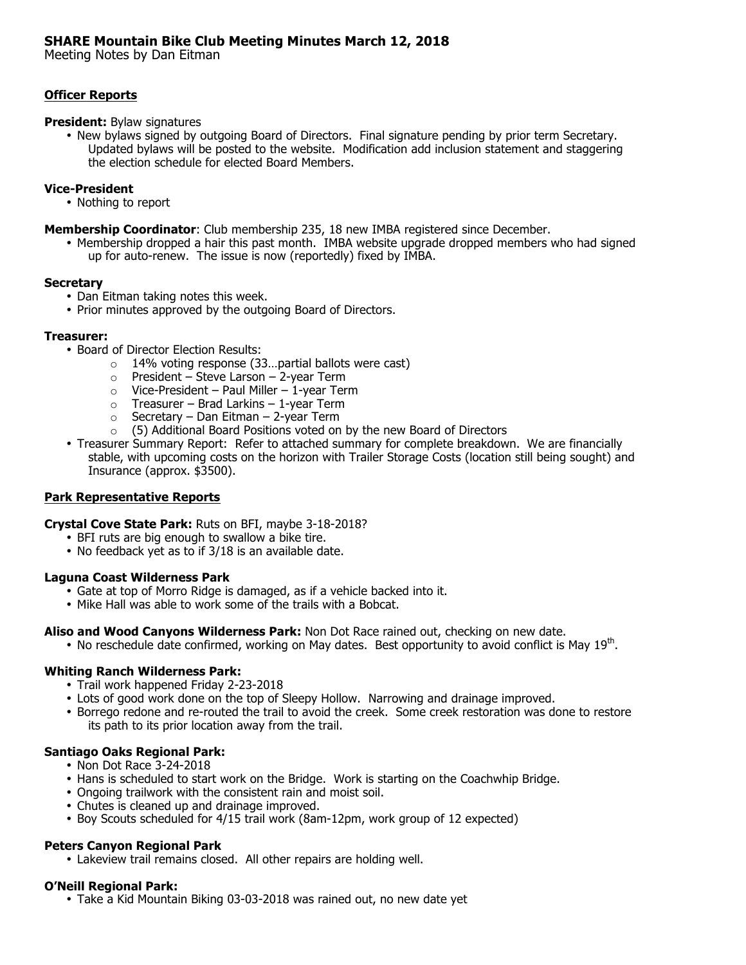# **SHARE Mountain Bike Club Meeting Minutes March 12, 2018**

Meeting Notes by Dan Eitman

### **Officer Reports**

#### **President:** Bylaw signatures

• New bylaws signed by outgoing Board of Directors. Final signature pending by prior term Secretary. Updated bylaws will be posted to the website. Modification add inclusion statement and staggering the election schedule for elected Board Members.

### **Vice-President**

- Nothing to report
- **Membership Coordinator**: Club membership 235, 18 new IMBA registered since December.
	- Membership dropped a hair this past month. IMBA website upgrade dropped members who had signed up for auto-renew. The issue is now (reportedly) fixed by IMBA.

#### **Secretary**

- Dan Eitman taking notes this week.
- Prior minutes approved by the outgoing Board of Directors.

#### **Treasurer:**

- Board of Director Election Results:
	- o 14% voting response (33…partial ballots were cast)
	- $\circ$  President Steve Larson 2-year Term
	- $\circ$  Vice-President Paul Miller 1-year Term
	- $\circ$  Treasurer Brad Larkins 1-year Term
	- $\circ$  Secretary Dan Eitman 2-year Term
	- $\circ$  (5) Additional Board Positions voted on by the new Board of Directors
- Treasurer Summary Report: Refer to attached summary for complete breakdown.We are financially stable, with upcoming costs on the horizon with Trailer Storage Costs (location still being sought) and Insurance (approx. \$3500).

### **Park Representative Reports**

**Crystal Cove State Park:** Ruts on BFI, maybe 3-18-2018?

- BFI ruts are big enough to swallow a bike tire.
- No feedback yet as to if 3/18 is an available date.

### **Laguna Coast Wilderness Park**

- Gate at top of Morro Ridge is damaged, as if a vehicle backed into it.
- Mike Hall was able to work some of the trails with a Bobcat.

### **Aliso and Wood Canyons Wilderness Park:** Non Dot Race rained out, checking on new date.

• No reschedule date confirmed, working on May dates. Best opportunity to avoid conflict is May  $19<sup>th</sup>$ .

### **Whiting Ranch Wilderness Park:**

- Trail work happened Friday 2-23-2018
- Lots of good work done on the top of Sleepy Hollow. Narrowing and drainage improved.
- Borrego redone and re-routed the trail to avoid the creek. Some creek restoration was done to restore its path to its prior location away from the trail.

### **Santiago Oaks Regional Park:**

- Non Dot Race 3-24-2018
- Hans is scheduled to start work on the Bridge. Work is starting on the Coachwhip Bridge.
- Ongoing trailwork with the consistent rain and moist soil.
- Chutes is cleaned up and drainage improved.
- Boy Scouts scheduled for 4/15 trail work (8am-12pm, work group of 12 expected)

### **Peters Canyon Regional Park**

• Lakeview trail remains closed. All other repairs are holding well.

### **O'Neill Regional Park:**

• Take a Kid Mountain Biking 03-03-2018 was rained out, no new date yet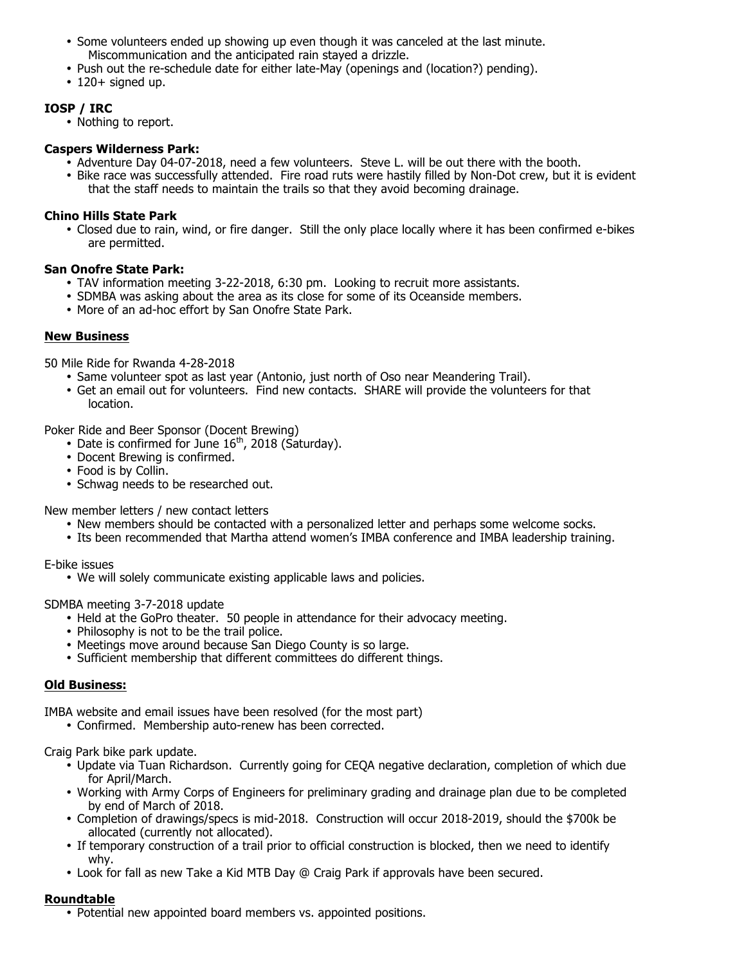- Some volunteers ended up showing up even though it was canceled at the last minute. Miscommunication and the anticipated rain stayed a drizzle.
- Push out the re-schedule date for either late-May (openings and (location?) pending).
- $\cdot$  120+ signed up.

## **IOSP / IRC**

• Nothing to report.

### **Caspers Wilderness Park:**

- Adventure Day 04-07-2018, need a few volunteers. Steve L. will be out there with the booth.
- Bike race was successfully attended. Fire road ruts were hastily filled by Non-Dot crew, but it is evident that the staff needs to maintain the trails so that they avoid becoming drainage.

#### **Chino Hills State Park**

• Closed due to rain, wind, or fire danger. Still the only place locally where it has been confirmed e-bikes are permitted.

#### **San Onofre State Park:**

- TAV information meeting 3-22-2018, 6:30 pm. Looking to recruit more assistants.
- SDMBA was asking about the area as its close for some of its Oceanside members.
- More of an ad-hoc effort by San Onofre State Park.

### **New Business**

50 Mile Ride for Rwanda 4-28-2018

- Same volunteer spot as last year (Antonio, just north of Oso near Meandering Trail).
- Get an email out for volunteers. Find new contacts. SHARE will provide the volunteers for that location.

Poker Ride and Beer Sponsor (Docent Brewing)

- Date is confirmed for June  $16<sup>th</sup>$ , 2018 (Saturday).
- Docent Brewing is confirmed.
- Food is by Collin.
- Schwag needs to be researched out.

New member letters / new contact letters

- New members should be contacted with a personalized letter and perhaps some welcome socks.
- Its been recommended that Martha attend women's IMBA conference and IMBA leadership training.

E-bike issues

• We will solely communicate existing applicable laws and policies.

SDMBA meeting 3-7-2018 update

- Held at the GoPro theater. 50 people in attendance for their advocacy meeting.
- Philosophy is not to be the trail police.
- Meetings move around because San Diego County is so large.
- Sufficient membership that different committees do different things.

### **Old Business:**

IMBA website and email issues have been resolved (for the most part)

• Confirmed. Membership auto-renew has been corrected.

Craig Park bike park update.

- Update via Tuan Richardson. Currently going for CEQA negative declaration, completion of which due for April/March.
- Working with Army Corps of Engineers for preliminary grading and drainage plan due to be completed by end of March of 2018.
- Completion of drawings/specs is mid-2018. Construction will occur 2018-2019, should the \$700k be allocated (currently not allocated).
- If temporary construction of a trail prior to official construction is blocked, then we need to identify why.
- Look for fall as new Take a Kid MTB Day @ Craig Park if approvals have been secured.

### **Roundtable**

• Potential new appointed board members vs. appointed positions.